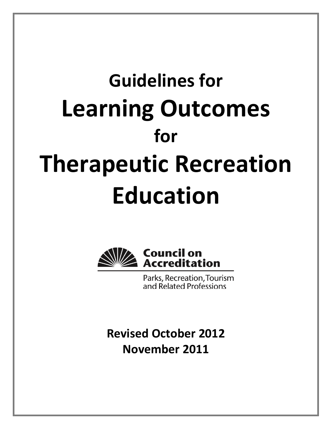# **Guidelines for Learning Outcomes for Therapeutic Recreation Education**



Parks, Recreation, Tourism and Related Professions

**Revised October 2012 November 2011**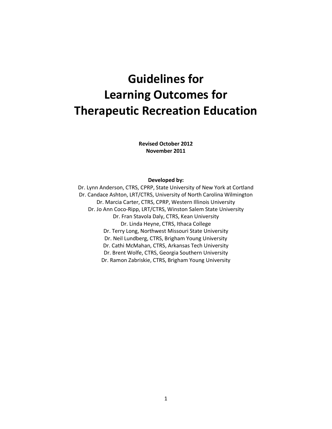# **Guidelines for Learning Outcomes for Therapeutic Recreation Education**

**Revised October 2012 November 2011**

#### **Developed by:**

Dr. Lynn Anderson, CTRS, CPRP, State University of New York at Cortland Dr. Candace Ashton, LRT/CTRS, University of North Carolina Wilmington Dr. Marcia Carter, CTRS, CPRP, Western Illinois University Dr. Jo Ann Coco-Ripp, LRT/CTRS, Winston Salem State University Dr. Fran Stavola Daly, CTRS, Kean University Dr. Linda Heyne, CTRS, Ithaca College Dr. Terry Long, Northwest Missouri State University Dr. Neil Lundberg, CTRS, Brigham Young University Dr. Cathi McMahan, CTRS, Arkansas Tech University Dr. Brent Wolfe, CTRS, Georgia Southern University Dr. Ramon Zabriskie, CTRS, Brigham Young University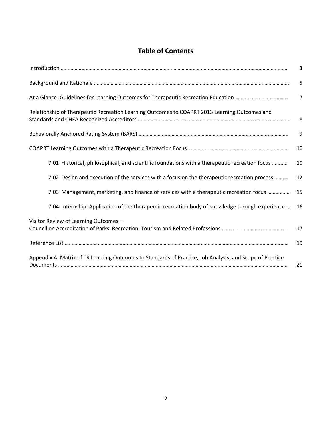## **Table of Contents**

|                                                                                                          | 3              |
|----------------------------------------------------------------------------------------------------------|----------------|
|                                                                                                          | 5              |
|                                                                                                          | $\overline{7}$ |
| Relationship of Therapeutic Recreation Learning Outcomes to COAPRT 2013 Learning Outcomes and            | 8              |
|                                                                                                          | 9              |
|                                                                                                          | 10             |
| 7.01 Historical, philosophical, and scientific foundations with a therapeutic recreation focus           | 10             |
| 7.02 Design and execution of the services with a focus on the therapeutic recreation process             | 12             |
| 7.03 Management, marketing, and finance of services with a therapeutic recreation focus                  | 15             |
| 7.04 Internship: Application of the therapeutic recreation body of knowledge through experience          | 16             |
| Visitor Review of Learning Outcomes -                                                                    | 17             |
|                                                                                                          | 19             |
| Appendix A: Matrix of TR Learning Outcomes to Standards of Practice, Job Analysis, and Scope of Practice | 21             |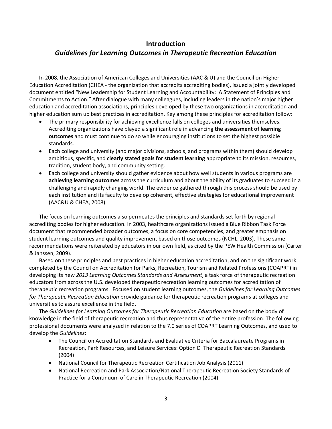### **Introduction**

## *Guidelines for Learning Outcomes in Therapeutic Recreation Education*

In 2008, the Association of American Colleges and Universities (AAC & U) and the Council on Higher Education Accreditation (CHEA - the organization that accredits accrediting bodies), issued a jointly developed document entitled "New Leadership for Student Learning and Accountability: A Statement of Principles and Commitments to Action." After dialogue with many colleagues, including leaders in the nation's major higher education and accreditation associations, principles developed by these two organizations in accreditation and higher education sum up best practices in accreditation. Key among these principles for accreditation follow:

- The primary responsibility for achieving excellence falls on colleges and universities themselves. Accrediting organizations have played a significant role in advancing **the assessment of learning outcomes** and must continue to do so while encouraging institutions to set the highest possible standards.
- Each college and university (and major divisions, schools, and programs within them) should develop ambitious, specific, and **clearly stated goals for student learning** appropriate to its mission, resources, tradition, student body, and community setting.
- Each college and university should gather evidence about how well students in various programs are **achieving learning outcomes** across the curriculum and about the ability of its graduates to succeed in a challenging and rapidly changing world. The evidence gathered through this process should be used by each institution and its faculty to develop coherent, effective strategies for educational improvement (AAC&U & CHEA, 2008).

The focus on learning outcomes also permeates the principles and standards set forth by regional accrediting bodies for higher education. In 2003, healthcare organizations issued a Blue Ribbon Task Force document that recommended broader outcomes, a focus on core competencies, and greater emphasis on student learning outcomes and quality improvement based on those outcomes (NCHL, 2003). These same recommendations were reiterated by educators in our own field, as cited by the PEW Health Commission (Carter & Janssen, 2009).

Based on these principles and best practices in higher education accreditation, and on the significant work completed by the Council on Accreditation for Parks, Recreation, Tourism and Related Professions (COAPRT) in developing its new *2013 Learning Outcomes Standards and Assessment*, a task force of therapeutic recreation educators from across the U.S. developed therapeutic recreation learning outcomes for accreditation of therapeutic recreation programs. Focused on student learning outcomes, the *Guidelines for Learning Outcomes for Therapeutic Recreation Education* provide guidance for therapeutic recreation programs at colleges and universities to assure excellence in the field.

The *Guidelines for Learning Outcomes for Therapeutic Recreation Education* are based on the body of knowledge in the field of therapeutic recreation and thus representative of the entire profession. The following professional documents were analyzed in relation to the 7.0 series of COAPRT Learning Outcomes, and used to develop the *Guidelines*:

- The Council on Accreditation Standards and Evaluative Criteria for Baccalaureate Programs in Recreation, Park Resources, and Leisure Services: Option D Therapeutic Recreation Standards (2004)
- National Council for Therapeutic Recreation Certification Job Analysis (2011)
- National Recreation and Park Association/National Therapeutic Recreation Society Standards of Practice for a Continuum of Care in Therapeutic Recreation (2004)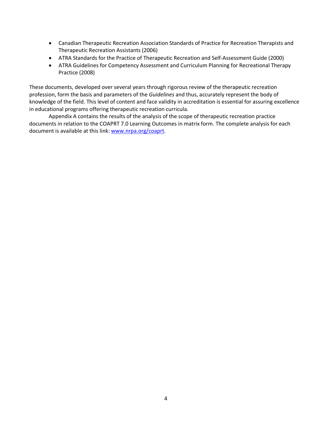- Canadian Therapeutic Recreation Association Standards of Practice for Recreation Therapists and Therapeutic Recreation Assistants (2006)
- ATRA Standards for the Practice of Therapeutic Recreation and Self-Assessment Guide (2000)
- ATRA Guidelines for Competency Assessment and Curriculum Planning for Recreational Therapy Practice (2008)

These documents, developed over several years through rigorous review of the therapeutic recreation profession, form the basis and parameters of the *Guidelines* and thus, accurately represent the body of knowledge of the field. This level of content and face validity in accreditation is essential for assuring excellence in educational programs offering therapeutic recreation curricula.

Appendix A contains the results of the analysis of the scope of therapeutic recreation practice documents in relation to the COAPRT 7.0 Learning Outcomes in matrix form. The complete analysis for each document is available at this link: [www.nrpa.org/coaprt.](http://www.nrpa.org/coaprt)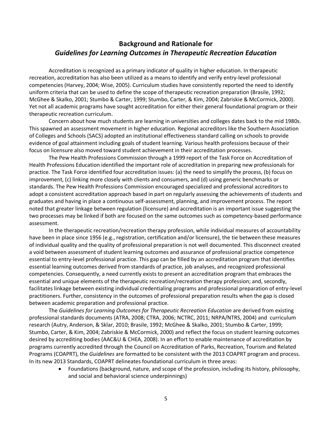## **Background and Rationale for** *Guidelines for Learning Outcomes in Therapeutic Recreation Education*

Accreditation is recognized as a primary indicator of quality in higher education. In therapeutic recreation, accreditation has also been utilized as a means to identify and verify entry-level professional competencies (Harvey, 2004; Wise, 2005). Curriculum studies have consistently reported the need to identify uniform criteria that can be used to define the scope of therapeutic recreation preparation (Brasile, 1992; McGhee & Skalko, 2001; Stumbo & Carter, 1999; Stumbo, Carter, & Kim, 2004; Zabriskie & McCormick, 2000). Yet not all academic programs have sought accreditation for either their general foundational program or their therapeutic recreation curriculum.

Concern about how much students are learning in universities and colleges dates back to the mid 1980s. This spawned an assessment movement in higher education. Regional accreditors like the Southern Association of Colleges and Schools (SACS) adopted an institutional effectiveness standard calling on schools to provide evidence of goal attainment including goals of student learning. Various health professions because of their focus on licensure also moved toward student achievement in their accreditation processes.

The Pew Health Professions Commission through a 1999 report of the Task Force on Accreditation of Health Professions Education identified the important role of accreditation in preparing new professionals for practice. The Task Force identified four accreditation issues: (a) the need to simplify the process, (b) focus on improvement, (c) linking more closely with clients and consumers, and (d) using generic benchmarks or standards. The Pew Health Professions Commission encouraged specialized and professional accreditors to adopt a consistent accreditation approach based in part on regularly assessing the achievements of students and graduates and having in place a continuous self-assessment, planning, and improvement process. The report noted that greater linkage between regulation (licensure) and accreditation is an important issue suggesting the two processes may be linked if both are focused on the same outcomes such as competency-based performance assessment.

In the therapeutic recreation/recreation therapy profession, while individual measures of accountability have been in place since 1956 (e.g., registration, certification and/or licensure), the tie between these measures of individual quality and the quality of professional preparation is not well documented. This disconnect created a void between assessment of student learning outcomes and assurance of professional practice competence essential to entry-level professional practice. This gap can be filled by an accreditation program that identifies essential learning outcomes derived from standards of practice, job analyses, and recognized professional competencies. Consequently, a need currently exists to present an accreditation program that embraces the essential and unique elements of the therapeutic recreation/recreation therapy profession; and, secondly, facilitates linkage between existing individual credentialing programs and professional preparation of entry-level practitioners. Further, consistency in the outcomes of professional preparation results when the gap is closed between academic preparation and professional practice.

The *Guidelines for Learning Outcomes for Therapeutic Recreation Education* are derived from existing professional standards documents (ATRA, 2008; CTRA, 2006; NCTRC, 2011; NRPA/NTRS, 2004) and curriculum research (Autry, Anderson, & Sklar, 2010; Brasile, 1992; McGhee & Skalko, 2001; Stumbo & Carter, 1999; Stumbo, Carter, & Kim, 2004; Zabriskie & McCormick, 2000) and reflect the focus on student learning outcomes desired by accrediting bodies (AAC&U & CHEA, 2008). In an effort to enable maintenance of accreditation by programs currently accredited through the Council on Accreditation of Parks, Recreation, Tourism and Related Programs (COAPRT), the *Guidelines* are formatted to be consistent with the 2013 COAPRT program and process. In its new 2013 Standards, COAPRT delineates foundational curriculum in three areas:

> • Foundations (background, nature, and scope of the profession, including its history, philosophy, and social and behavioral science underpinnings)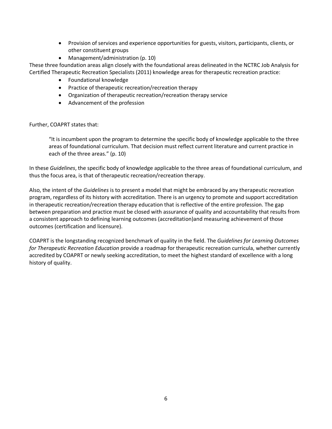- Provision of services and experience opportunities for guests, visitors, participants, clients, or other constituent groups
- Management/administration (p. 10)

These three foundation areas align closely with the foundational areas delineated in the NCTRC Job Analysis for Certified Therapeutic Recreation Specialists (2011) knowledge areas for therapeutic recreation practice:

- Foundational knowledge
- Practice of therapeutic recreation/recreation therapy
- Organization of therapeutic recreation/recreation therapy service
- Advancement of the profession

Further, COAPRT states that:

"It is incumbent upon the program to determine the specific body of knowledge applicable to the three areas of foundational curriculum. That decision must reflect current literature and current practice in each of the three areas." (p. 10)

In these *Guidelines*, the specific body of knowledge applicable to the three areas of foundational curriculum, and thus the focus area, is that of therapeutic recreation/recreation therapy.

Also, the intent of the *Guidelines* is to present a model that might be embraced by any therapeutic recreation program, regardless of its history with accreditation. There is an urgency to promote and support accreditation in therapeutic recreation/recreation therapy education that is reflective of the entire profession. The gap between preparation and practice must be closed with assurance of quality and accountability that results from a consistent approach to defining learning outcomes (accreditation)and measuring achievement of those outcomes (certification and licensure).

COAPRT is the longstanding recognized benchmark of quality in the field. The *Guidelines for Learning Outcomes for Therapeutic Recreation Education* provide a roadmap for therapeutic recreation curricula, whether currently accredited by COAPRT or newly seeking accreditation, to meet the highest standard of excellence with a long history of quality.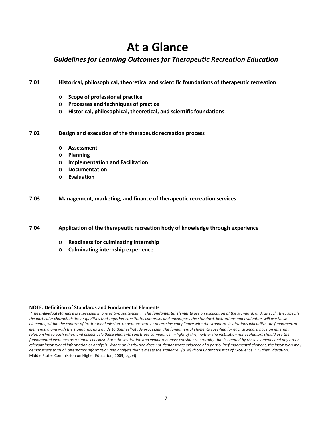## **At a Glance**

## *Guidelines for Learning Outcomes for Therapeutic Recreation Education*

**7.01 Historical, philosophical, theoretical and scientific foundations of therapeutic recreation**

- o **Scope of professional practice**
- o **Processes and techniques of practice**
- o **Historical, philosophical, theoretical, and scientific foundations**

#### **7.02 Design and execution of the therapeutic recreation process**

- o **Assessment**
- o **Planning**
- o **Implementation and Facilitation**
- o **Documentation**
- o **Evaluation**

#### **7.03 Management, marketing, and finance of therapeutic recreation services**

**7.04 Application of the therapeutic recreation body of knowledge through experience**

- o **Readiness for culminating internship**
- o **Culminating internship experience**

#### **NOTE: Definition of Standards and Fundamental Elements**

*"The individual standard is expressed in one or two sentences …. The fundamental elements are an explication of the standard, and, as such, they specify the particular characteristics or qualities that together constitute, comprise, and encompass the standard. Institutions and evaluators will use these elements, within the context of institutional mission, to demonstrate or determine compliance with the standard. Institutions will utilize the fundamental elements, along with the standards, as a guide to their self-study processes. The fundamental elements specified for each standard have an inherent*  relationship to each other, and collectively these elements constitute compliance. In light of this, neither the institution nor evaluators should use the fundamental elements as a simple checklist. Both the institution and evaluators must consider the totality that is created by these elements and any other *relevant institutional information or analysis. Where an institution does not demonstrate evidence of a particular fundamental element, the institution may demonstrate through alternative information and analysis that it meets the standard. (p. vi)* (from *Characteristics of Excellence in Higher Education*, Middle States Commission on Higher Education, 2009, pg. vi)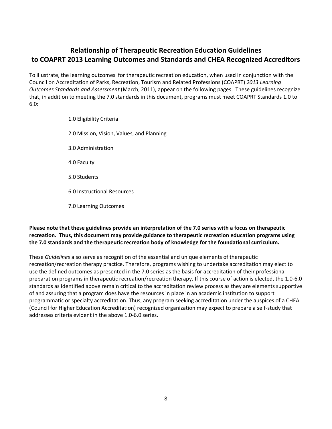## **Relationship of Therapeutic Recreation Education Guidelines to COAPRT 2013 Learning Outcomes and Standards and CHEA Recognized Accreditors**

To illustrate, the learning outcomes for therapeutic recreation education, when used in conjunction with the Council on Accreditation of Parks, Recreation, Tourism and Related Professions (COAPRT) *2013 Learning Outcomes Standards and Assessment* (March, 2011), appear on the following pages. These guidelines recognize that, in addition to meeting the 7.0 standards in this document, programs must meet COAPRT Standards 1.0 to 6.0:

> 1.0 Eligibility Criteria 2.0 Mission, Vision, Values, and Planning 3.0 Administration 4.0 Faculty 5.0 Students 6.0 Instructional Resources 7.0 Learning Outcomes

#### **Please note that these guidelines provide an interpretation of the 7.0 series with a focus on therapeutic recreation. Thus, this document may provide guidance to therapeutic recreation education programs using the 7.0 standards and the therapeutic recreation body of knowledge for the foundational curriculum.**

These *Guidelines* also serve as recognition of the essential and unique elements of therapeutic recreation/recreation therapy practice. Therefore, programs wishing to undertake accreditation may elect to use the defined outcomes as presented in the 7.0 series as the basis for accreditation of their professional preparation programs in therapeutic recreation/recreation therapy. If this course of action is elected, the 1.0-6.0 standards as identified above remain critical to the accreditation review process as they are elements supportive of and assuring that a program does have the resources in place in an academic institution to support programmatic or specialty accreditation. Thus, any program seeking accreditation under the auspices of a CHEA (Council for Higher Education Accreditation) recognized organization may expect to prepare a self-study that addresses criteria evident in the above 1.0-6.0 series.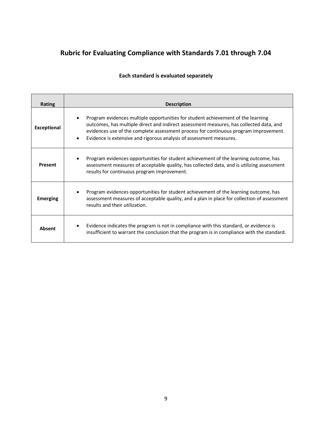## **Rubric for Evaluating Compliance with Standards 7.01 through 7.04**

## **Each standard is evaluated separately**

| Rating             | <b>Description</b>                                                                                                                                                                                                                                                                                                                                      |
|--------------------|---------------------------------------------------------------------------------------------------------------------------------------------------------------------------------------------------------------------------------------------------------------------------------------------------------------------------------------------------------|
| <b>Exceptional</b> | Program evidences multiple opportunities for student achievement of the learning<br>outcomes, has multiple direct and indirect assessment measures, has collected data, and<br>evidences use of the complete assessment process for continuous program improvement.<br>Evidence is extensive and rigorous analysis of assessment measures.<br>$\bullet$ |
| <b>Present</b>     | Program evidences opportunities for student achievement of the learning outcome, has<br>assessment measures of acceptable quality, has collected data, and is utilizing assessment<br>results for continuous program improvement.                                                                                                                       |
| <b>Emerging</b>    | Program evidences opportunities for student achievement of the learning outcome, has<br>assessment measures of acceptable quality, and a plan in place for collection of assessment<br>results and their utilization.                                                                                                                                   |
| <b>Absent</b>      | Evidence indicates the program is not in compliance with this standard, or evidence is<br>$\bullet$<br>insufficient to warrant the conclusion that the program is in compliance with the standard.                                                                                                                                                      |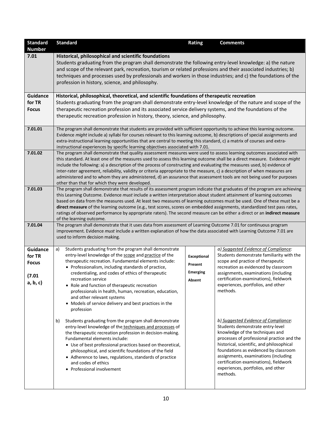| <b>Standard</b> | <b>Standard</b>                                                                                                                                                                                                                                                                                                                                                                                                                                                                                                                                                                                                                                                                                                                                                                                                                                       | <b>Rating</b>      | <b>Comments</b>                                                              |  |  |  |  |  |  |  |  |
|-----------------|-------------------------------------------------------------------------------------------------------------------------------------------------------------------------------------------------------------------------------------------------------------------------------------------------------------------------------------------------------------------------------------------------------------------------------------------------------------------------------------------------------------------------------------------------------------------------------------------------------------------------------------------------------------------------------------------------------------------------------------------------------------------------------------------------------------------------------------------------------|--------------------|------------------------------------------------------------------------------|--|--|--|--|--|--|--|--|
| <b>Number</b>   |                                                                                                                                                                                                                                                                                                                                                                                                                                                                                                                                                                                                                                                                                                                                                                                                                                                       |                    |                                                                              |  |  |  |  |  |  |  |  |
| 7.01            | Historical, philosophical and scientific foundations                                                                                                                                                                                                                                                                                                                                                                                                                                                                                                                                                                                                                                                                                                                                                                                                  |                    |                                                                              |  |  |  |  |  |  |  |  |
|                 | Students graduating from the program shall demonstrate the following entry-level knowledge: a) the nature<br>and scope of the relevant park, recreation, tourism or related professions and their associated industries; b)<br>techniques and processes used by professionals and workers in those industries; and c) the foundations of the<br>profession in history, science, and philosophy.                                                                                                                                                                                                                                                                                                                                                                                                                                                       |                    |                                                                              |  |  |  |  |  |  |  |  |
| <b>Guidance</b> | Historical, philosophical, theoretical, and scientific foundations of therapeutic recreation                                                                                                                                                                                                                                                                                                                                                                                                                                                                                                                                                                                                                                                                                                                                                          |                    |                                                                              |  |  |  |  |  |  |  |  |
| for TR          | Students graduating from the program shall demonstrate entry-level knowledge of the nature and scope of the                                                                                                                                                                                                                                                                                                                                                                                                                                                                                                                                                                                                                                                                                                                                           |                    |                                                                              |  |  |  |  |  |  |  |  |
| <b>Focus</b>    | therapeutic recreation profession and its associated service delivery systems, and the foundations of the                                                                                                                                                                                                                                                                                                                                                                                                                                                                                                                                                                                                                                                                                                                                             |                    |                                                                              |  |  |  |  |  |  |  |  |
|                 | therapeutic recreation profession in history, theory, science, and philosophy.                                                                                                                                                                                                                                                                                                                                                                                                                                                                                                                                                                                                                                                                                                                                                                        |                    |                                                                              |  |  |  |  |  |  |  |  |
| 7.01.01         | The program shall demonstrate that students are provided with sufficient opportunity to achieve this learning outcome.<br>Evidence might include a) syllabi for courses relevant to this learning outcome, b) descriptions of special assignments and<br>extra-instructional learning opportunities that are central to meeting this standard, c) a matrix of courses and extra-<br>instructional experiences by specific learning objectives associated with 7.01.                                                                                                                                                                                                                                                                                                                                                                                   |                    |                                                                              |  |  |  |  |  |  |  |  |
| 7.01.02         | The program shall demonstrate that quality assessment measures were used to assess learning outcomes associated with<br>this standard. At least one of the measures used to assess this learning outcome shall be a direct measure. Evidence might<br>include the following: a) a description of the process of constructing and evaluating the measures used, b) evidence of<br>inter-rater agreement, reliability, validity or criteria appropriate to the measure, c) a description of when measures are<br>administered and to whom they are administered, d) an assurance that assessment tools are not being used for purposes<br>other than that for which they were developed.                                                                                                                                                                |                    |                                                                              |  |  |  |  |  |  |  |  |
| 7.01.03         | The program shall demonstrate that results of its assessment program indicate that graduates of the program are achieving<br>this Learning Outcome. Evidence must include a written interpretation about student attainment of learning outcomes<br>based on data from the measures used. At least two measures of learning outcomes must be used. One of these must be a<br>direct measure of the learning outcome (e.g., test scores, scores on embedded assignments, standardized test pass rates,<br>ratings of observed performance by appropriate raters). The second measure can be either a direct or an indirect measure<br>of the learning outcome.                                                                                                                                                                                         |                    |                                                                              |  |  |  |  |  |  |  |  |
| 7.01.04         | The program shall demonstrate that it uses data from assessment of Learning Outcome 7.01 for continuous program<br>improvement. Evidence must include a written explanation of how the data associated with Learning Outcome 7.01 are<br>used to inform decision making.                                                                                                                                                                                                                                                                                                                                                                                                                                                                                                                                                                              |                    |                                                                              |  |  |  |  |  |  |  |  |
| <b>Guidance</b> | Students graduating from the program shall demonstrate<br>a)                                                                                                                                                                                                                                                                                                                                                                                                                                                                                                                                                                                                                                                                                                                                                                                          |                    | a) Suggested Evidence of Compliance:                                         |  |  |  |  |  |  |  |  |
| for TR          | entry-level knowledge of the scope and practice of the                                                                                                                                                                                                                                                                                                                                                                                                                                                                                                                                                                                                                                                                                                                                                                                                | <b>Exceptional</b> | Students demonstrate familiarity with the                                    |  |  |  |  |  |  |  |  |
| <b>Focus</b>    | therapeutic recreation. Fundamental elements include:                                                                                                                                                                                                                                                                                                                                                                                                                                                                                                                                                                                                                                                                                                                                                                                                 | Present            | scope and practice of therapeutic                                            |  |  |  |  |  |  |  |  |
|                 | • Professionalism, including standards of practice,<br>credentialing, and codes of ethics of therapeutic                                                                                                                                                                                                                                                                                                                                                                                                                                                                                                                                                                                                                                                                                                                                              | <b>Emerging</b>    | recreation as evidenced by classroom<br>assignments, examinations (including |  |  |  |  |  |  |  |  |
| (7.01)          | recreation service                                                                                                                                                                                                                                                                                                                                                                                                                                                                                                                                                                                                                                                                                                                                                                                                                                    |                    | certification examinations), fieldwork                                       |  |  |  |  |  |  |  |  |
| a, b, c)        | Absent<br>experiences, portfolios, and other<br>• Role and function of therapeutic recreation<br>methods.<br>professionals in health, human, recreation, education,<br>and other relevant systems<br>• Models of service delivery and best practices in the<br>profession                                                                                                                                                                                                                                                                                                                                                                                                                                                                                                                                                                             |                    |                                                                              |  |  |  |  |  |  |  |  |
|                 | b) Suggested Evidence of Compliance:<br>Students graduating from the program shall demonstrate<br>b)<br>Students demonstrate entry-level<br>entry-level knowledge of the techniques and processes of<br>knowledge of the techniques and<br>the therapeutic recreation profession in decision-making.<br>processes of professional practice and the<br>Fundamental elements include:<br>historical, scientific, and philosophical<br>• Use of best professional practices based on theoretical,<br>foundations as evidenced by classroom<br>philosophical, and scientific foundations of the field<br>assignments, examinations (including<br>• Adherence to laws, regulations, standards of practice<br>certification examinations), fieldwork<br>and codes of ethics<br>experiences, portfolios, and other<br>• Professional involvement<br>methods. |                    |                                                                              |  |  |  |  |  |  |  |  |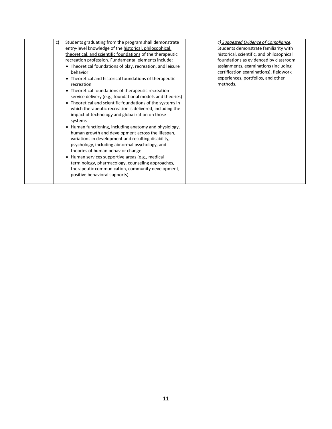|    | entry-level knowledge of the historical, philosophical,<br>theoretical, and scientific foundations of the therapeutic<br>recreation profession. Fundamental elements include:<br>• Theoretical foundations of play, recreation, and leisure<br>behavior<br>• Theoretical and historical foundations of therapeutic<br>recreation<br>• Theoretical foundations of therapeutic recreation<br>service delivery (e.g., foundational models and theories)<br>Theoretical and scientific foundations of the systems in<br>which therapeutic recreation is delivered, including the<br>impact of technology and globalization on those<br>systems<br>• Human functioning, including anatomy and physiology,<br>human growth and development across the lifespan,<br>variations in development and resulting disability,<br>psychology, including abnormal psychology, and<br>theories of human behavior change<br>Human services supportive areas (e.g., medical<br>terminology, pharmacology, counseling approaches,<br>therapeutic communication, community development,<br>positive behavioral supports) | Students demonstrate familiarity with<br>historical, scientific, and philosophical<br>foundations as evidenced by classroom<br>assignments, examinations (including<br>certification examinations), fieldwork<br>experiences, portfolios, and other<br>methods. |
|----|------------------------------------------------------------------------------------------------------------------------------------------------------------------------------------------------------------------------------------------------------------------------------------------------------------------------------------------------------------------------------------------------------------------------------------------------------------------------------------------------------------------------------------------------------------------------------------------------------------------------------------------------------------------------------------------------------------------------------------------------------------------------------------------------------------------------------------------------------------------------------------------------------------------------------------------------------------------------------------------------------------------------------------------------------------------------------------------------------|-----------------------------------------------------------------------------------------------------------------------------------------------------------------------------------------------------------------------------------------------------------------|
| c) | Students graduating from the program shall demonstrate                                                                                                                                                                                                                                                                                                                                                                                                                                                                                                                                                                                                                                                                                                                                                                                                                                                                                                                                                                                                                                               | c) Suggested Evidence of Compliance:                                                                                                                                                                                                                            |
|    |                                                                                                                                                                                                                                                                                                                                                                                                                                                                                                                                                                                                                                                                                                                                                                                                                                                                                                                                                                                                                                                                                                      |                                                                                                                                                                                                                                                                 |
|    |                                                                                                                                                                                                                                                                                                                                                                                                                                                                                                                                                                                                                                                                                                                                                                                                                                                                                                                                                                                                                                                                                                      |                                                                                                                                                                                                                                                                 |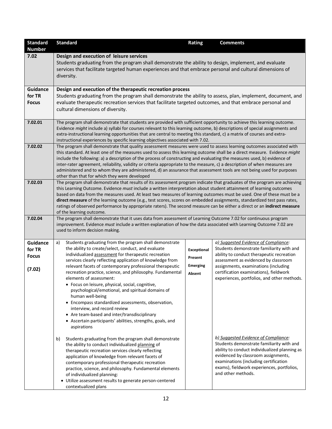| <b>Standard</b> | <b>Standard</b>                                                                                                                                                                                                                                                                                                                                                                                                                                                                                                                                                                                                                                                                       | Rating          | <b>Comments</b>                                                                                                                                                                                                                                                                        |  |  |  |  |  |  |  |
|-----------------|---------------------------------------------------------------------------------------------------------------------------------------------------------------------------------------------------------------------------------------------------------------------------------------------------------------------------------------------------------------------------------------------------------------------------------------------------------------------------------------------------------------------------------------------------------------------------------------------------------------------------------------------------------------------------------------|-----------------|----------------------------------------------------------------------------------------------------------------------------------------------------------------------------------------------------------------------------------------------------------------------------------------|--|--|--|--|--|--|--|
| <b>Number</b>   |                                                                                                                                                                                                                                                                                                                                                                                                                                                                                                                                                                                                                                                                                       |                 |                                                                                                                                                                                                                                                                                        |  |  |  |  |  |  |  |
| 7.02            | Design and execution of leisure services<br>Students graduating from the program shall demonstrate the ability to design, implement, and evaluate<br>services that facilitate targeted human experiences and that embrace personal and cultural dimensions of<br>diversity.                                                                                                                                                                                                                                                                                                                                                                                                           |                 |                                                                                                                                                                                                                                                                                        |  |  |  |  |  |  |  |
| <b>Guidance</b> | Design and execution of the therapeutic recreation process                                                                                                                                                                                                                                                                                                                                                                                                                                                                                                                                                                                                                            |                 |                                                                                                                                                                                                                                                                                        |  |  |  |  |  |  |  |
| for TR          | Students graduating from the program shall demonstrate the ability to assess, plan, implement, document, and                                                                                                                                                                                                                                                                                                                                                                                                                                                                                                                                                                          |                 |                                                                                                                                                                                                                                                                                        |  |  |  |  |  |  |  |
| <b>Focus</b>    | evaluate therapeutic recreation services that facilitate targeted outcomes, and that embrace personal and<br>cultural dimensions of diversity.                                                                                                                                                                                                                                                                                                                                                                                                                                                                                                                                        |                 |                                                                                                                                                                                                                                                                                        |  |  |  |  |  |  |  |
| 7.02.01         | The program shall demonstrate that students are provided with sufficient opportunity to achieve this learning outcome.<br>Evidence might include a) syllabi for courses relevant to this learning outcome, b) descriptions of special assignments and<br>extra-instructional learning opportunities that are central to meeting this standard, c) a matrix of courses and extra-<br>instructional experiences by specific learning objectives associated with 7.02.                                                                                                                                                                                                                   |                 |                                                                                                                                                                                                                                                                                        |  |  |  |  |  |  |  |
| 7.02.02         | The program shall demonstrate that quality assessment measures were used to assess learning outcomes associated with<br>this standard. At least one of the measures used to assess this learning outcome shall be a direct measure. Evidence might<br>include the following: a) a description of the process of constructing and evaluating the measures used, b) evidence of<br>inter-rater agreement, reliability, validity or criteria appropriate to the measure, c) a description of when measures are<br>administered and to whom they are administered, d) an assurance that assessment tools are not being used for purposes<br>other than that for which they were developed |                 |                                                                                                                                                                                                                                                                                        |  |  |  |  |  |  |  |
| 7.02.03         | The program shall demonstrate that results of its assessment program indicate that graduates of the program are achieving<br>this Learning Outcome. Evidence must include a written interpretation about student attainment of learning outcomes<br>based on data from the measures used. At least two measures of learning outcomes must be used. One of these must be a<br>direct measure of the learning outcome (e.g., test scores, scores on embedded assignments, standardized test pass rates,<br>ratings of observed performance by appropriate raters). The second measure can be either a direct or an indirect measure<br>of the learning outcome.                         |                 |                                                                                                                                                                                                                                                                                        |  |  |  |  |  |  |  |
| 7.02.04         | The program shall demonstrate that it uses data from assessment of Learning Outcome 7.02 for continuous program<br>improvement. Evidence must include a written explanation of how the data associated with Learning Outcome 7.02 are<br>used to inform decision making.                                                                                                                                                                                                                                                                                                                                                                                                              |                 |                                                                                                                                                                                                                                                                                        |  |  |  |  |  |  |  |
| Guidance        | Students graduating from the program shall demonstrate<br>a)                                                                                                                                                                                                                                                                                                                                                                                                                                                                                                                                                                                                                          |                 | a) Suggested Evidence of Compliance:                                                                                                                                                                                                                                                   |  |  |  |  |  |  |  |
| for TR          | the ability to create/select, conduct, and evaluate                                                                                                                                                                                                                                                                                                                                                                                                                                                                                                                                                                                                                                   | Exceptional     | Students demonstrate familiarity with and                                                                                                                                                                                                                                              |  |  |  |  |  |  |  |
| <b>Focus</b>    | individualized assessment for therapeutic recreation<br>services clearly reflecting application of knowledge from                                                                                                                                                                                                                                                                                                                                                                                                                                                                                                                                                                     | Present         | ability to conduct therapeutic recreation<br>assessment as evidenced by classroom                                                                                                                                                                                                      |  |  |  |  |  |  |  |
|                 | relevant facets of contemporary professional therapeutic                                                                                                                                                                                                                                                                                                                                                                                                                                                                                                                                                                                                                              | <b>Emerging</b> | assignments, examinations (including                                                                                                                                                                                                                                                   |  |  |  |  |  |  |  |
| (7.02)          | recreation practice, science, and philosophy. Fundamental                                                                                                                                                                                                                                                                                                                                                                                                                                                                                                                                                                                                                             | Absent          | certification examinations), fieldwork                                                                                                                                                                                                                                                 |  |  |  |  |  |  |  |
|                 | elements of assessment:<br>experiences, portfolios, and other methods.<br>· Focus on leisure, physical, social, cognitive,<br>psychological/emotional, and spiritual domains of<br>human well-being<br>• Encompass standardized assessments, observation,<br>interview, and record review<br>• Are team-based and inter/transdisciplinary<br>• Ascertain participants' abilities, strengths, goals, and<br>aspirations                                                                                                                                                                                                                                                                |                 |                                                                                                                                                                                                                                                                                        |  |  |  |  |  |  |  |
|                 | Students graduating from the program shall demonstrate<br>b)<br>the ability to conduct individualized planning of<br>therapeutic recreation services clearly reflecting<br>application of knowledge from relevant facets of<br>contemporary professional therapeutic recreation<br>practice, science, and philosophy. Fundamental elements<br>of individualized planning:<br>• Utilize assessment results to generate person-centered<br>contextualized plans                                                                                                                                                                                                                         |                 | b) Suggested Evidence of Compliance:<br>Students demonstrate familiarity with and<br>ability to conduct individualized planning as<br>evidenced by classroom assignments,<br>examinations (including certification<br>exams), fieldwork experiences, portfolios,<br>and other methods. |  |  |  |  |  |  |  |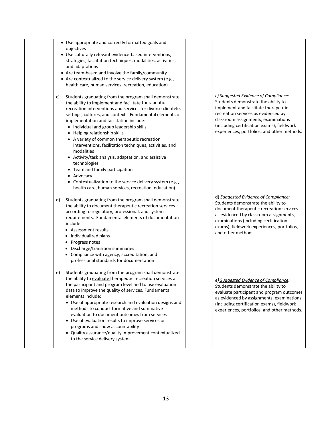| • Use appropriate and correctly formatted goals and<br>objectives                                                                                                                                                                                                                                                                                                                                                                                                                                                                                                                                                        |                                                                                                                                                                                                                                                                                                |
|--------------------------------------------------------------------------------------------------------------------------------------------------------------------------------------------------------------------------------------------------------------------------------------------------------------------------------------------------------------------------------------------------------------------------------------------------------------------------------------------------------------------------------------------------------------------------------------------------------------------------|------------------------------------------------------------------------------------------------------------------------------------------------------------------------------------------------------------------------------------------------------------------------------------------------|
| • Use culturally relevant evidence-based interventions,<br>strategies, facilitation techniques, modalities, activities,<br>and adaptations                                                                                                                                                                                                                                                                                                                                                                                                                                                                               |                                                                                                                                                                                                                                                                                                |
| • Are team-based and involve the family/community                                                                                                                                                                                                                                                                                                                                                                                                                                                                                                                                                                        |                                                                                                                                                                                                                                                                                                |
| • Are contextualized to the service delivery system (e.g.,                                                                                                                                                                                                                                                                                                                                                                                                                                                                                                                                                               |                                                                                                                                                                                                                                                                                                |
| health care, human services, recreation, education)                                                                                                                                                                                                                                                                                                                                                                                                                                                                                                                                                                      |                                                                                                                                                                                                                                                                                                |
| Students graduating from the program shall demonstrate<br>c)<br>the ability to implement and facilitate therapeutic<br>recreation interventions and services for diverse clientele,<br>settings, cultures, and contexts. Fundamental elements of<br>implementation and facilitation include:<br>• Individual and group leadership skills<br>• Helping relationship skills<br>• A variety of common therapeutic recreation<br>interventions, facilitation techniques, activities, and<br>modalities<br>• Activity/task analysis, adaptation, and assistive<br>technologies<br>• Team and family participation<br>Advocacy | c) Suggested Evidence of Compliance:<br>Students demonstrate the ability to<br>implement and facilitate therapeutic<br>recreation services as evidenced by<br>classroom assignments, examinations<br>(including certification exams), fieldwork<br>experiences, portfolios, and other methods. |
| • Contextualization to the service delivery system (e.g.,<br>health care, human services, recreation, education)                                                                                                                                                                                                                                                                                                                                                                                                                                                                                                         |                                                                                                                                                                                                                                                                                                |
| Students graduating from the program shall demonstrate<br>d)<br>the ability to document therapeutic recreation services<br>according to regulatory, professional, and system<br>requirements. Fundamental elements of documentation<br>include:<br>• Assessment results<br>• Individualized plans<br>• Progress notes<br>• Discharge/transition summaries<br>• Compliance with agency, accreditation, and<br>professional standards for documentation                                                                                                                                                                    | d) Suggested Evidence of Compliance:<br>Students demonstrate the ability to<br>document therapeutic recreation services<br>as evidenced by classroom assignments,<br>examinations (including certification<br>exams), fieldwork experiences, portfolios,<br>and other methods.                 |
| Students graduating from the program shall demonstrate<br>e)<br>the ability to evaluate therapeutic recreation services at<br>the participant and program level and to use evaluation<br>data to improve the quality of services. Fundamental<br>elements include:<br>• Use of appropriate research and evaluation designs and<br>methods to conduct formative and summative<br>evaluation to document outcomes from services<br>• Use of evaluation results to improve services or<br>programs and show accountability<br>• Quality assurance/quality improvement contextualized<br>to the service delivery system      | e) Suggested Evidence of Compliance:<br>Students demonstrate the ability to<br>evaluate participant and program outcomes<br>as evidenced by assignments, examinations<br>(including certification exams), fieldwork<br>experiences, portfolios, and other methods.                             |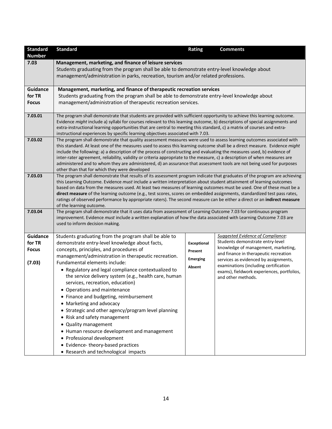| <b>Standard</b> | <b>Standard</b>                                                                                                                                                                                                                                        | Rating             | <b>Comments</b>                                                                |
|-----------------|--------------------------------------------------------------------------------------------------------------------------------------------------------------------------------------------------------------------------------------------------------|--------------------|--------------------------------------------------------------------------------|
| <b>Number</b>   |                                                                                                                                                                                                                                                        |                    |                                                                                |
| 7.03            | Management, marketing, and finance of leisure services                                                                                                                                                                                                 |                    |                                                                                |
|                 | Students graduating from the program shall be able to demonstrate entry-level knowledge about                                                                                                                                                          |                    |                                                                                |
|                 | management/administration in parks, recreation, tourism and/or related professions.                                                                                                                                                                    |                    |                                                                                |
| <b>Guidance</b> | Management, marketing, and finance of therapeutic recreation services                                                                                                                                                                                  |                    |                                                                                |
| for TR          | Students graduating from the program shall be able to demonstrate entry-level knowledge about                                                                                                                                                          |                    |                                                                                |
| <b>Focus</b>    | management/administration of therapeutic recreation services.                                                                                                                                                                                          |                    |                                                                                |
|                 |                                                                                                                                                                                                                                                        |                    |                                                                                |
| 7.03.01         | The program shall demonstrate that students are provided with sufficient opportunity to achieve this learning outcome.                                                                                                                                 |                    |                                                                                |
|                 | Evidence might include a) syllabi for courses relevant to this learning outcome, b) descriptions of special assignments and<br>extra-instructional learning opportunities that are central to meeting this standard, c) a matrix of courses and extra- |                    |                                                                                |
|                 | instructional experiences by specific learning objectives associated with 7.03.                                                                                                                                                                        |                    |                                                                                |
| 7.03.02         | The program shall demonstrate that quality assessment measures were used to assess learning outcomes associated with                                                                                                                                   |                    |                                                                                |
|                 | this standard. At least one of the measures used to assess this learning outcome shall be a direct measure. Evidence might                                                                                                                             |                    |                                                                                |
|                 | include the following: a) a description of the process of constructing and evaluating the measures used, b) evidence of                                                                                                                                |                    |                                                                                |
|                 | inter-rater agreement, reliability, validity or criteria appropriate to the measure, c) a description of when measures are<br>administered and to whom they are administered, d) an assurance that assessment tools are not being used for purposes    |                    |                                                                                |
|                 | other than that for which they were developed                                                                                                                                                                                                          |                    |                                                                                |
| 7.03.03         | The program shall demonstrate that results of its assessment program indicate that graduates of the program are achieving                                                                                                                              |                    |                                                                                |
|                 | this Learning Outcome. Evidence must include a written interpretation about student attainment of learning outcomes                                                                                                                                    |                    |                                                                                |
|                 | based on data from the measures used. At least two measures of learning outcomes must be used. One of these must be a                                                                                                                                  |                    |                                                                                |
|                 | direct measure of the learning outcome (e.g., test scores, scores on embedded assignments, standardized test pass rates,                                                                                                                               |                    |                                                                                |
|                 | ratings of observed performance by appropriate raters). The second measure can be either a direct or an indirect measure<br>of the learning outcome.                                                                                                   |                    |                                                                                |
| 7.03.04         | The program shall demonstrate that it uses data from assessment of Learning Outcome 7.03 for continuous program                                                                                                                                        |                    |                                                                                |
|                 | improvement. Evidence must include a written explanation of how the data associated with Learning Outcome 7.03 are                                                                                                                                     |                    |                                                                                |
|                 | used to inform decision making.                                                                                                                                                                                                                        |                    |                                                                                |
| Guidance        | Students graduating from the program shall be able to                                                                                                                                                                                                  |                    | Suggested Evidence of Compliance:                                              |
| for TR          | demonstrate entry-level knowledge about facts,                                                                                                                                                                                                         | <b>Exceptional</b> | Students demonstrate entry-level                                               |
| <b>Focus</b>    | concepts, principles, and procedures of                                                                                                                                                                                                                | Present            | knowledge of management, marketing,                                            |
|                 | management/administration in therapeutic recreation.                                                                                                                                                                                                   |                    | and finance in therapeutic recreation                                          |
| (7.03)          | Fundamental elements include:                                                                                                                                                                                                                          | <b>Emerging</b>    | services as evidenced by assignments,<br>examinations (including certification |
|                 | • Regulatory and legal compliance contextualized to                                                                                                                                                                                                    | Absent             | exams), fieldwork experiences, portfolios,                                     |
|                 | the service delivery system (e.g., health care, human                                                                                                                                                                                                  |                    | and other methods.                                                             |
|                 | services, recreation, education)                                                                                                                                                                                                                       |                    |                                                                                |
|                 | • Operations and maintenance                                                                                                                                                                                                                           |                    |                                                                                |
|                 | • Finance and budgeting, reimbursement                                                                                                                                                                                                                 |                    |                                                                                |
|                 | • Marketing and advocacy                                                                                                                                                                                                                               |                    |                                                                                |
|                 | • Strategic and other agency/program level planning                                                                                                                                                                                                    |                    |                                                                                |
|                 | • Risk and safety management                                                                                                                                                                                                                           |                    |                                                                                |
|                 | • Quality management                                                                                                                                                                                                                                   |                    |                                                                                |
|                 | • Human resource development and management                                                                                                                                                                                                            |                    |                                                                                |
|                 | • Professional development                                                                                                                                                                                                                             |                    |                                                                                |
|                 | • Evidence-theory-based practices                                                                                                                                                                                                                      |                    |                                                                                |
|                 | • Research and technological impacts                                                                                                                                                                                                                   |                    |                                                                                |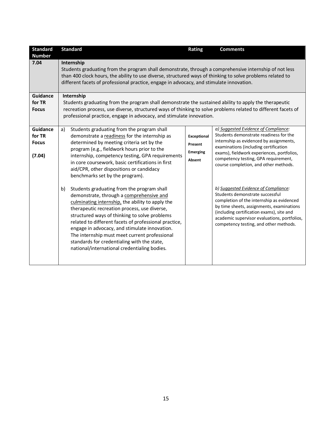| <b>Standard</b>                                     | <b>Standard</b>                                                                                                                                                                                                                                                                                                                                                                                                                                                                       | <b>Rating</b>                                              | <b>Comments</b>                                                                                                                                                                                                                                                                                                                                                              |
|-----------------------------------------------------|---------------------------------------------------------------------------------------------------------------------------------------------------------------------------------------------------------------------------------------------------------------------------------------------------------------------------------------------------------------------------------------------------------------------------------------------------------------------------------------|------------------------------------------------------------|------------------------------------------------------------------------------------------------------------------------------------------------------------------------------------------------------------------------------------------------------------------------------------------------------------------------------------------------------------------------------|
| <b>Number</b><br>7.04                               | Internship<br>Students graduating from the program shall demonstrate, through a comprehensive internship of not less<br>than 400 clock hours, the ability to use diverse, structured ways of thinking to solve problems related to<br>different facets of professional practice, engage in advocacy, and stimulate innovation.                                                                                                                                                        |                                                            |                                                                                                                                                                                                                                                                                                                                                                              |
| <b>Guidance</b><br>for TR<br><b>Focus</b>           | Internship<br>Students graduating from the program shall demonstrate the sustained ability to apply the therapeutic<br>recreation process, use diverse, structured ways of thinking to solve problems related to different facets of<br>professional practice, engage in advocacy, and stimulate innovation.                                                                                                                                                                          |                                                            |                                                                                                                                                                                                                                                                                                                                                                              |
| <b>Guidance</b><br>for TR<br><b>Focus</b><br>(7.04) | Students graduating from the program shall<br>a)<br>demonstrate a readiness for the internship as<br>determined by meeting criteria set by the<br>program (e.g., fieldwork hours prior to the<br>internship, competency testing, GPA requirements<br>in core coursework, basic certifications in first<br>aid/CPR, other dispositions or candidacy<br>benchmarks set by the program).<br>Students graduating from the program shall<br>b)<br>demonstrate, through a comprehensive and | <b>Exceptional</b><br>Present<br><b>Emerging</b><br>Absent | a) Suggested Evidence of Compliance:<br>Students demonstrate readiness for the<br>internship as evidenced by assignments,<br>examinations (including certification<br>exams), fieldwork experiences, portfolios,<br>competency testing, GPA requirement,<br>course completion, and other methods.<br>b) Suggested Evidence of Compliance:<br>Students demonstrate successful |
|                                                     | culminating internship, the ability to apply the<br>therapeutic recreation process, use diverse,<br>structured ways of thinking to solve problems<br>related to different facets of professional practice,<br>engage in advocacy, and stimulate innovation.<br>The internship must meet current professional<br>standards for credentialing with the state,<br>national/international credentialing bodies.                                                                           |                                                            | completion of the internship as evidenced<br>by time sheets, assignments, examinations<br>(including certification exams), site and<br>academic supervisor evaluations, portfolios,<br>competency testing, and other methods.                                                                                                                                                |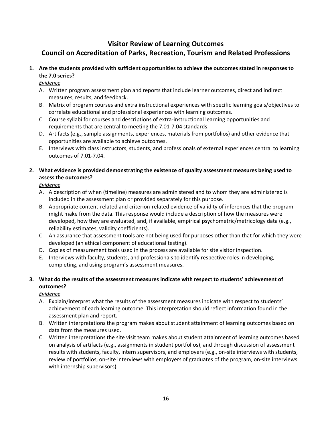## **Visitor Review of Learning Outcomes Council on Accreditation of Parks, Recreation, Tourism and Related Professions**

**1. Are the students provided with sufficient opportunities to achieve the outcomes stated in responses to the 7.0 series?** 

*Evidence*

- A. Written program assessment plan and reports that include learner outcomes, direct and indirect measures, results, and feedback.
- B. Matrix of program courses and extra instructional experiences with specific learning goals/objectives to correlate educational and professional experiences with learning outcomes.
- C. Course syllabi for courses and descriptions of extra-instructional learning opportunities and requirements that are central to meeting the 7.01-7.04 standards.
- D. Artifacts (e.g., sample assignments, experiences, materials from portfolios) and other evidence that opportunities are available to achieve outcomes.
- E. Interviews with class instructors, students, and professionals of external experiences central to learning outcomes of 7.01-7.04.

## **2. What evidence is provided demonstrating the existence of quality assessment measures being used to assess the outcomes?**

*Evidence*

- A. A description of when (timeline) measures are administered and to whom they are administered is included in the assessment plan or provided separately for this purpose.
- B. Appropriate content-related and criterion-related evidence of validity of inferences that the program might make from the data. This response would include a description of how the measures were developed, how they are evaluated, and, if available, empirical psychometric/metricology data (e.g., reliability estimates, validity coefficients).
- C. An assurance that assessment tools are not being used for purposes other than that for which they were developed (an ethical component of educational testing).
- D. Copies of measurement tools used in the process are available for site visitor inspection.
- E. Interviews with faculty, students, and professionals to identify respective roles in developing, completing, and using program's assessment measures.

## **3. What do the results of the assessment measures indicate with respect to students' achievement of outcomes?**

*Evidence*

- A. Explain/interpret what the results of the assessment measures indicate with respect to students' achievement of each learning outcome. This interpretation should reflect information found in the assessment plan and report.
- B. Written interpretations the program makes about student attainment of learning outcomes based on data from the measures used.
- C. Written interpretations the site visit team makes about student attainment of learning outcomes based on analysis of artifacts (e.g., assignments in student portfolios), and through discussion of assessment results with students, faculty, intern supervisors, and employers (e.g., on-site interviews with students, review of portfolios, on-site interviews with employers of graduates of the program, on-site interviews with internship supervisors).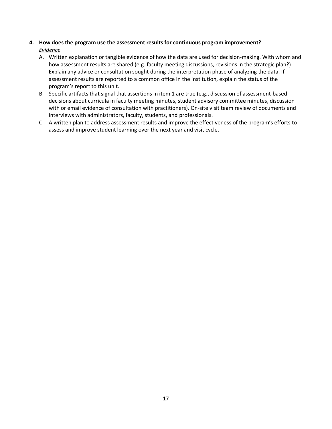#### **4. How does the program use the assessment results for continuous program improvement?** *Evidence*

- A. Written explanation or tangible evidence of how the data are used for decision-making. With whom and how assessment results are shared (e.g. faculty meeting discussions, revisions in the strategic plan?) Explain any advice or consultation sought during the interpretation phase of analyzing the data. If assessment results are reported to a common office in the institution, explain the status of the program's report to this unit.
- B. Specific artifacts that signal that assertions in item 1 are true (e.g., discussion of assessment-based decisions about curricula in faculty meeting minutes, student advisory committee minutes, discussion with or email evidence of consultation with practitioners). On-site visit team review of documents and interviews with administrators, faculty, students, and professionals.
- C. A written plan to address assessment results and improve the effectiveness of the program's efforts to assess and improve student learning over the next year and visit cycle.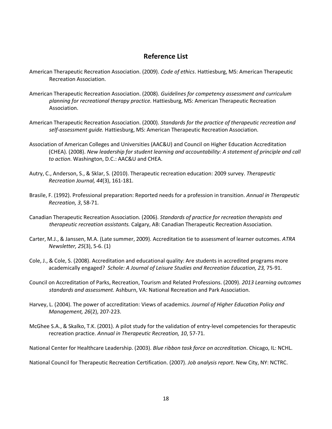## **Reference List**

- American Therapeutic Recreation Association. (2009). *Code of ethics*. Hattiesburg, MS: American Therapeutic Recreation Association.
- American Therapeutic Recreation Association. (2008). *Guidelines for competency assessment and curriculum planning for recreational therapy practice*. Hattiesburg, MS: American Therapeutic Recreation Association.
- American Therapeutic Recreation Association. (2000). *Standards for the practice of therapeutic recreation and self-assessment guide.* Hattiesburg, MS: American Therapeutic Recreation Association.
- Association of American Colleges and Universities (AAC&U) and Council on Higher Education Accreditation (CHEA). (2008). *New leadership for student learning and accountability: A statement of principle and call to action*. Washington, D.C.: AAC&U and CHEA.
- Autry, C., Anderson, S., & Sklar, S. (2010). Therapeutic recreation education: 2009 survey. *Therapeutic Recreation Journal, 44*(3), 161-181.
- Brasile, F. (1992). Professional preparation: Reported needs for a profession in transition. *Annual in Therapeutic Recreation, 3*, 58-71.
- Canadian Therapeutic Recreation Association. (2006). *Standards of practice for recreation therapists and therapeutic recreation assistants.* Calgary, AB: Canadian Therapeutic Recreation Association.
- Carter, M.J., & Janssen, M.A. (Late summer, 2009). Accreditation tie to assessment of learner outcomes. *ATRA Newsletter, 25*(3), 5-6. (1)
- Cole, J., & Cole, S. (2008). Accreditation and educational quality: Are students in accredited programs more academically engaged? *Schole: A Journal of Leisure Studies and Recreation Education, 23,* 75-91.
- Council on Accreditation of Parks, Recreation, Tourism and Related Professions. (2009). *2013 Learning outcomes standards and assessment.* Ashburn, VA: National Recreation and Park Association.
- Harvey, L. (2004). The power of accreditation: Views of academics. *Journal of Higher Education Policy and Management, 26*(2), 207-223.
- McGhee S.A., & Skalko, T.K. (2001). A pilot study for the validation of entry-level competencies for therapeutic recreation practice. *Annual in Therapeutic Recreation, 10*, 57-71.
- National Center for Healthcare Leadership. (2003). *Blue ribbon task force on accreditation*. Chicago, IL: NCHL.

National Council for Therapeutic Recreation Certification. (2007). *Job analysis report*. New City, NY: NCTRC.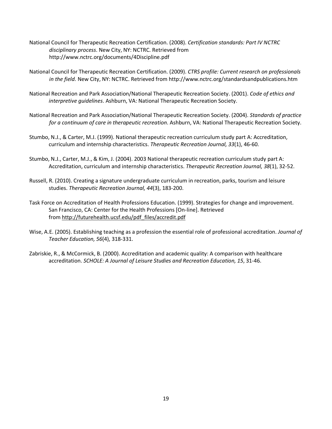- National Council for Therapeutic Recreation Certification. (2008). *Certification standards: Part IV NCTRC disciplinary process*. New City, NY: NCTRC. Retrieved from http://www.nctrc.org/documents/4Discipline.pdf
- National Council for Therapeutic Recreation Certification. (2009). *CTRS profile: Current research on professionals in the field.* New City, NY: NCTRC. Retrieved from http://www.nctrc.org/standardsandpublications.htm
- National Recreation and Park Association/National Therapeutic Recreation Society. (2001). *Code of ethics and interpretive guidelines*. Ashburn, VA: National Therapeutic Recreation Society.
- National Recreation and Park Association/National Therapeutic Recreation Society. (2004). *Standards of practice for a continuum of care in therapeutic recreation*. Ashburn, VA: National Therapeutic Recreation Society.
- Stumbo, N.J., & Carter, M.J. (1999). National therapeutic recreation curriculum study part A: Accreditation, curriculum and internship characteristics. *Therapeutic Recreation Journal, 33*(1), 46-60.
- Stumbo, N.J., Carter, M.J., & Kim, J. (2004). 2003 National therapeutic recreation curriculum study part A: Accreditation, curriculum and internship characteristics. *Therapeutic Recreation Journal, 38*(1), 32-52.
- Russell, R. (2010). Creating a signature undergraduate curriculum in recreation, parks, tourism and leisure studies. *Therapeutic Recreation Journal, 44*(3), 183-200.
- Task Force on Accreditation of Health Professions Education. (1999). Strategies for change and improvement. San Francisco, CA: Center for the Health Professions [On-line]. Retrieved from [http://futurehealth.ucsf.edu/pdf\\_files/accredit.pdf](http://futurehealth.ucsf.edu/pdf_files/accredit.pdf)
- Wise, A.E. (2005). Establishing teaching as a profession the essential role of professional accreditation. *Journal of Teacher Education, 56*(4), 318-331.
- Zabriskie, R., & McCormick, B. (2000). Accreditation and academic quality: A comparison with healthcare accreditation. *SCHOLE: A Journal of Leisure Studies and Recreation Education, 15*, 31-46.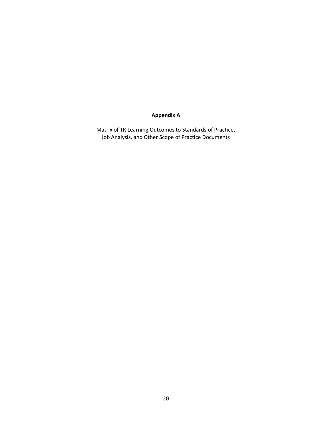## **Appendix A**

Matrix of TR Learning Outcomes to Standards of Practice, Job Analysis, and Other Scope of Practice Documents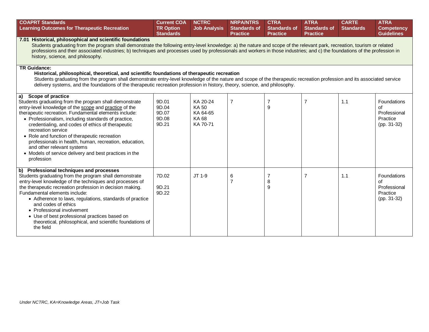| <b>COAPRT Standards</b><br><b>Learning Outcomes for Therapeutic Recreation</b>                                                                                                                                                                                                                                                                                                                                                                                                                                                                          | <b>Current COA</b><br><b>TR Option</b><br><b>Standards</b> | <b>NCTRC</b><br><b>Job Analysis</b>                            | <b>NRPA/NTRS</b><br><b>Standards of</b><br><b>Practice</b> | <b>CTRA</b><br><b>Standards of</b><br><b>Practice</b> | <b>ATRA</b><br><b>Standards of</b><br><b>Practice</b> | <b>CARTE</b><br><b>Standards</b> | <b>ATRA</b><br><b>Competency</b><br><b>Guidelines</b>          |  |  |
|---------------------------------------------------------------------------------------------------------------------------------------------------------------------------------------------------------------------------------------------------------------------------------------------------------------------------------------------------------------------------------------------------------------------------------------------------------------------------------------------------------------------------------------------------------|------------------------------------------------------------|----------------------------------------------------------------|------------------------------------------------------------|-------------------------------------------------------|-------------------------------------------------------|----------------------------------|----------------------------------------------------------------|--|--|
| 7.01 Historical, philosophical and scientific foundations<br>Students graduating from the program shall demonstrate the following entry-level knowledge: a) the nature and scope of the relevant park, recreation, tourism or related<br>professions and their associated industries; b) techniques and processes used by professionals and workers in those industries; and c) the foundations of the profession in<br>history, science, and philosophy.                                                                                               |                                                            |                                                                |                                                            |                                                       |                                                       |                                  |                                                                |  |  |
| <b>TR Guidance:</b><br>Historical, philosophical, theoretical, and scientific foundations of therapeutic recreation<br>Students graduating from the program shall demonstrate entry-level knowledge of the nature and scope of the therapeutic recreation profession and its associated service<br>delivery systems, and the foundations of the therapeutic recreation profession in history, theory, science, and philosophy.                                                                                                                          |                                                            |                                                                |                                                            |                                                       |                                                       |                                  |                                                                |  |  |
| Scope of practice<br>a)<br>Students graduating from the program shall demonstrate<br>entry-level knowledge of the scope and practice of the<br>therapeutic recreation. Fundamental elements include:<br>• Professionalism, including standards of practice,<br>credentialing, and codes of ethics of therapeutic<br>recreation service<br>• Role and function of therapeutic recreation<br>professionals in health, human, recreation, education,<br>and other relevant systems<br>• Models of service delivery and best practices in the<br>profession | 9D.01<br>9D.04<br>9D.07<br>9D.08<br>9D.21                  | KA 20-24<br><b>KA50</b><br>KA 64-65<br><b>KA68</b><br>KA 70-71 | $\overline{7}$                                             | $\overline{7}$<br>9                                   | $\overline{7}$                                        | 1.1                              | Foundations<br>of<br>Professional<br>Practice<br>$(pp. 31-32)$ |  |  |
| Professional techniques and processes<br>b)<br>Students graduating from the program shall demonstrate<br>entry-level knowledge of the techniques and processes of<br>the therapeutic recreation profession in decision making.<br>Fundamental elements include:<br>• Adherence to laws, regulations, standards of practice<br>and codes of ethics<br>• Professional involvement<br>• Use of best professional practices based on<br>theoretical, philosophical, and scientific foundations of<br>the field                                              | 7D.02<br>9D.21<br>9D.22                                    | JT 1-9                                                         | 6<br>$\overline{7}$                                        | $\overline{7}$<br>8<br>9                              | $\overline{7}$                                        | 1.1                              | Foundations<br>οf<br>Professional<br>Practice<br>$(pp. 31-32)$ |  |  |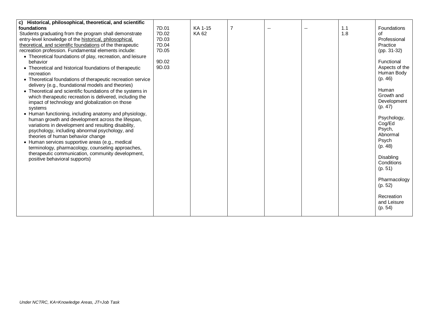| c) Historical, philosophical, theoretical, and scientific   |       |         |   |     |     |                    |
|-------------------------------------------------------------|-------|---------|---|-----|-----|--------------------|
| foundations                                                 | 7D.01 | KA 1-15 | 7 | $-$ | 1.1 | <b>Foundations</b> |
| Students graduating from the program shall demonstrate      | 7D.02 | KA 62   |   |     | 1.8 | Ωf                 |
| entry-level knowledge of the historical, philosophical,     | 7D.03 |         |   |     |     | Professional       |
| theoretical, and scientific foundations of the therapeutic  | 7D.04 |         |   |     |     | Practice           |
| recreation profession. Fundamental elements include:        | 7D.05 |         |   |     |     | $(pp. 31-32)$      |
| • Theoretical foundations of play, recreation, and leisure  |       |         |   |     |     |                    |
| behavior                                                    | 9D.02 |         |   |     |     | Functional         |
| • Theoretical and historical foundations of therapeutic     | 9D.03 |         |   |     |     | Aspects of the     |
| recreation                                                  |       |         |   |     |     | Human Body         |
| • Theoretical foundations of therapeutic recreation service |       |         |   |     |     | (p. 46)            |
| delivery (e.g., foundational models and theories)           |       |         |   |     |     |                    |
| • Theoretical and scientific foundations of the systems in  |       |         |   |     |     | Human              |
| which therapeutic recreation is delivered, including the    |       |         |   |     |     | Growth and         |
| impact of technology and globalization on those             |       |         |   |     |     | Development        |
| systems                                                     |       |         |   |     |     | (p. 47)            |
| • Human functioning, including anatomy and physiology,      |       |         |   |     |     |                    |
| human growth and development across the lifespan,           |       |         |   |     |     | Psychology,        |
| variations in development and resulting disability,         |       |         |   |     |     | Cog/Ed             |
| psychology, including abnormal psychology, and              |       |         |   |     |     | Psych,             |
| theories of human behavior change                           |       |         |   |     |     | Abnormal           |
| • Human services supportive areas (e.g., medical            |       |         |   |     |     | Psych              |
| terminology, pharmacology, counseling approaches,           |       |         |   |     |     | (p. 48)            |
| therapeutic communication, community development,           |       |         |   |     |     | Disabling          |
| positive behavioral supports)                               |       |         |   |     |     | Conditions         |
|                                                             |       |         |   |     |     | (p. 51)            |
|                                                             |       |         |   |     |     |                    |
|                                                             |       |         |   |     |     | Pharmacology       |
|                                                             |       |         |   |     |     | (p. 52)            |
|                                                             |       |         |   |     |     |                    |
|                                                             |       |         |   |     |     | Recreation         |
|                                                             |       |         |   |     |     | and Leisure        |
|                                                             |       |         |   |     |     | (p. 54)            |
|                                                             |       |         |   |     |     |                    |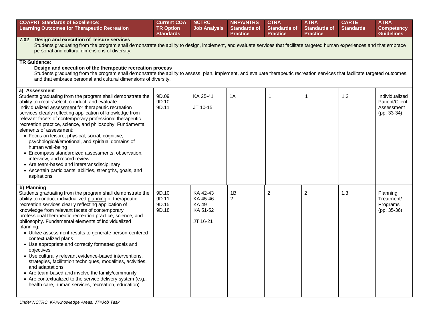| <b>COAPRT Standards of Excellence:</b><br><b>Learning Outcomes for Therapeutic Recreation</b>                                                                                                                                                                                                                                                                                                                                                                                                                                                                                                                                                                                                                                                                                                                                                                       | <b>Current COA</b><br><b>TR Option</b><br><b>Standards</b> | <b>NCTRC</b><br><b>Job Analysis</b>                   | <b>NRPA/NTRS</b><br><b>Standards of</b><br><b>Practice</b> | <b>CTRA</b><br><b>Standards of</b><br><b>Practice</b> | <b>ATRA</b><br><b>Standards of</b><br><b>Practice</b> | <b>CARTE</b><br><b>Standards</b> | <b>ATRA</b><br><b>Competency</b><br><b>Guidelines</b>         |  |  |
|---------------------------------------------------------------------------------------------------------------------------------------------------------------------------------------------------------------------------------------------------------------------------------------------------------------------------------------------------------------------------------------------------------------------------------------------------------------------------------------------------------------------------------------------------------------------------------------------------------------------------------------------------------------------------------------------------------------------------------------------------------------------------------------------------------------------------------------------------------------------|------------------------------------------------------------|-------------------------------------------------------|------------------------------------------------------------|-------------------------------------------------------|-------------------------------------------------------|----------------------------------|---------------------------------------------------------------|--|--|
| 7.02 Design and execution of leisure services<br>Students graduating from the program shall demonstrate the ability to design, implement, and evaluate services that facilitate targeted human experiences and that embrace<br>personal and cultural dimensions of diversity.                                                                                                                                                                                                                                                                                                                                                                                                                                                                                                                                                                                       |                                                            |                                                       |                                                            |                                                       |                                                       |                                  |                                                               |  |  |
| <b>TR Guidance:</b><br>Design and execution of the therapeutic recreation process<br>Students graduating from the program shall demonstrate the ability to assess, plan, implement, and evaluate therapeutic recreation services that facilitate targeted outcomes,<br>and that embrace personal and cultural dimensions of diversity.                                                                                                                                                                                                                                                                                                                                                                                                                                                                                                                              |                                                            |                                                       |                                                            |                                                       |                                                       |                                  |                                                               |  |  |
| a) Assessment<br>Students graduating from the program shall demonstrate the<br>ability to create/select, conduct, and evaluate<br>individualized assessment for therapeutic recreation<br>services clearly reflecting application of knowledge from<br>relevant facets of contemporary professional therapeutic<br>recreation practice, science, and philosophy. Fundamental<br>elements of assessment:<br>· Focus on leisure, physical, social, cognitive,<br>psychological/emotional, and spiritual domains of<br>human well-being<br>• Encompass standardized assessments, observation,<br>interview, and record review<br>• Are team-based and inter/transdisciplinary<br>• Ascertain participants' abilities, strengths, goals, and<br>aspirations                                                                                                             | 9D.09<br>9D.10<br>9D.11                                    | KA 25-41<br>JT 10-15                                  | 1A                                                         | 1                                                     | $\overline{1}$                                        | 1.2                              | Individualized<br>Patient/Client<br>Assessment<br>(pp. 33-34) |  |  |
| b) Planning<br>Students graduating from the program shall demonstrate the<br>ability to conduct individualized planning of therapeutic<br>recreation services clearly reflecting application of<br>knowledge from relevant facets of contemporary<br>professional therapeutic recreation practice, science, and<br>philosophy. Fundamental elements of individualized<br>planning:<br>• Utilize assessment results to generate person-centered<br>contextualized plans<br>• Use appropriate and correctly formatted goals and<br>objectives<br>• Use culturally relevant evidence-based interventions,<br>strategies, facilitation techniques, modalities, activities,<br>and adaptations<br>• Are team-based and involve the family/community<br>• Are contextualized to the service delivery system (e.g.,<br>health care, human services, recreation, education) | 9D.10<br>9D.11<br>9D.15<br>9D.18                           | KA 42-43<br>KA 45-46<br>KA 49<br>KA 51-52<br>JT 16-21 | 1B<br>$\overline{2}$                                       | 2                                                     | $\overline{c}$                                        | 1.3                              | Planning<br>Treatment/<br>Programs<br>$(pp. 35-36)$           |  |  |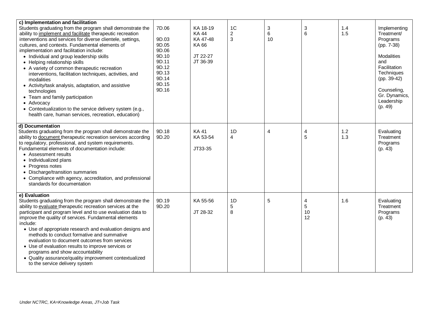| c) Implementation and facilitation<br>Students graduating from the program shall demonstrate the<br>ability to implement and facilitate therapeutic recreation<br>interventions and services for diverse clientele, settings,<br>cultures, and contexts. Fundamental elements of<br>implementation and facilitation include:<br>• Individual and group leadership skills<br>• Helping relationship skills<br>• A variety of common therapeutic recreation<br>interventions, facilitation techniques, activities, and<br>modalities<br>• Activity/task analysis, adaptation, and assistive<br>technologies<br>• Team and family participation<br>• Advocacy<br>• Contextualization to the service delivery system (e.g., | 7D.06<br>9D.03<br>9D.05<br>9D.06<br>9D.10<br>9D.11<br>9D.12<br>9D.13<br>9D.14<br>9D.15<br>9D.16 | KA 18-19<br><b>KA44</b><br>KA 47-48<br>KA 66<br>JT 22-27<br>JT 36-39 | 1 <sup>C</sup><br>2<br>3 | 3<br>6<br>10 | 3<br>6             | 1.4<br>1.5 | Implementing<br>Treatment/<br>Programs<br>(pp. 7-38)<br><b>Modalities</b><br>and<br>Facilitation<br>Techniques<br>(pp. 39-42)<br>Counseling,<br>Gr. Dynamics,<br>Leadership<br>(p. 49) |
|-------------------------------------------------------------------------------------------------------------------------------------------------------------------------------------------------------------------------------------------------------------------------------------------------------------------------------------------------------------------------------------------------------------------------------------------------------------------------------------------------------------------------------------------------------------------------------------------------------------------------------------------------------------------------------------------------------------------------|-------------------------------------------------------------------------------------------------|----------------------------------------------------------------------|--------------------------|--------------|--------------------|------------|----------------------------------------------------------------------------------------------------------------------------------------------------------------------------------------|
| health care, human services, recreation, education)                                                                                                                                                                                                                                                                                                                                                                                                                                                                                                                                                                                                                                                                     |                                                                                                 |                                                                      |                          |              |                    |            |                                                                                                                                                                                        |
| d) Documentation<br>Students graduating from the program shall demonstrate the<br>ability to document therapeutic recreation services according<br>to regulatory, professional, and system requirements.<br>Fundamental elements of documentation include:<br>• Assessment results<br>• Individualized plans<br>• Progress notes<br>• Discharge/transition summaries<br>• Compliance with agency, accreditation, and professional<br>standards for documentation                                                                                                                                                                                                                                                        | 9D.18<br>9D.20                                                                                  | <b>KA41</b><br>KA 53-54<br>JT33-35                                   | 1D<br>$\overline{4}$     | 4            | 4<br>5             | 1.2<br>1.3 | Evaluating<br>Treatment<br>Programs<br>(p. 43)                                                                                                                                         |
| e) Evaluation<br>Students graduating from the program shall demonstrate the<br>ability to evaluate therapeutic recreation services at the<br>participant and program level and to use evaluation data to<br>improve the quality of services. Fundamental elements<br>include:<br>• Use of appropriate research and evaluation designs and<br>methods to conduct formative and summative<br>evaluation to document outcomes from services<br>• Use of evaluation results to improve services or<br>programs and show accountability<br>• Quality assurance/quality improvement contextualized<br>to the service delivery system                                                                                          | 9D.19<br>9D.20                                                                                  | KA 55-56<br>JT 28-32                                                 | 1D<br>5<br>8             | 5            | 4<br>5<br>10<br>12 | 1.6        | Evaluating<br>Treatment<br>Programs<br>(p. 43)                                                                                                                                         |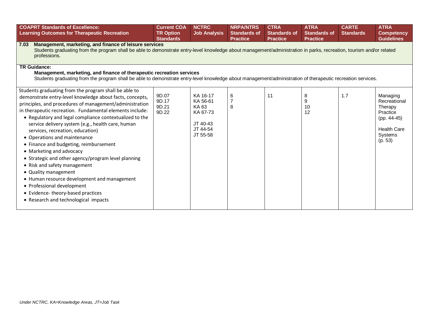| <b>COAPRT Standards of Excellence:</b><br><b>Learning Outcomes for Therapeutic Recreation</b>                                                                                                                                                                                                                                                                                                                                                                                                                                                                                                                                                                                                                                                                               | <b>Current COA</b><br><b>TR Option</b><br><b>Standards</b> | <b>NCTRC</b><br><b>Job Analysis</b>                                           | <b>NRPA/NTRS</b><br><b>Standards of</b><br><b>Practice</b> | <b>CTRA</b><br><b>Standards of</b><br><b>Practice</b> | <b>ATRA</b><br><b>Standards of</b><br><b>Practice</b> | <b>CARTE</b><br><b>Standards</b> | <b>ATRA</b><br><b>Competency</b><br><b>Guidelines</b>                                                             |  |  |  |  |
|-----------------------------------------------------------------------------------------------------------------------------------------------------------------------------------------------------------------------------------------------------------------------------------------------------------------------------------------------------------------------------------------------------------------------------------------------------------------------------------------------------------------------------------------------------------------------------------------------------------------------------------------------------------------------------------------------------------------------------------------------------------------------------|------------------------------------------------------------|-------------------------------------------------------------------------------|------------------------------------------------------------|-------------------------------------------------------|-------------------------------------------------------|----------------------------------|-------------------------------------------------------------------------------------------------------------------|--|--|--|--|
| Management, marketing, and finance of leisure services<br>7.03<br>Students graduating from the program shall be able to demonstrate entry-level knowledge about management/administration in parks, recreation, tourism and/or related<br>professions.                                                                                                                                                                                                                                                                                                                                                                                                                                                                                                                      |                                                            |                                                                               |                                                            |                                                       |                                                       |                                  |                                                                                                                   |  |  |  |  |
| <b>TR Guidance:</b><br>Management, marketing, and finance of therapeutic recreation services<br>Students graduating from the program shall be able to demonstrate entry-level knowledge about management/administration of therapeutic recreation services.                                                                                                                                                                                                                                                                                                                                                                                                                                                                                                                 |                                                            |                                                                               |                                                            |                                                       |                                                       |                                  |                                                                                                                   |  |  |  |  |
| Students graduating from the program shall be able to<br>demonstrate entry-level knowledge about facts, concepts,<br>principles, and procedures of management/administration<br>in therapeutic recreation. Fundamental elements include:<br>• Regulatory and legal compliance contextualized to the<br>service delivery system (e.g., health care, human<br>services, recreation, education)<br>• Operations and maintenance<br>• Finance and budgeting, reimbursement<br>• Marketing and advocacy<br>• Strategic and other agency/program level planning<br>• Risk and safety management<br>• Quality management<br>• Human resource development and management<br>• Professional development<br>• Evidence-theory-based practices<br>• Research and technological impacts | 9D.07<br>9D.17<br>9D.21<br>9D.22                           | KA 16-17<br>KA 56-61<br>KA 63<br>KA 67-73<br>JT 40-43<br>JT 44-54<br>JT 55-58 | 6<br>$\overline{7}$<br>8                                   | 11                                                    | 8<br>9<br>10<br>12                                    | 1.7                              | Managing<br>Recreational<br>Therapy<br>Practice<br>(pp. 44-45)<br><b>Health Care</b><br><b>Systems</b><br>(p. 53) |  |  |  |  |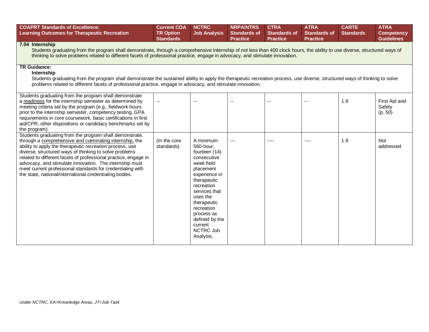| <b>COAPRT Standards of Excellence:</b><br><b>Learning Outcomes for Therapeutic Recreation</b>                                                                                                                                                                                                                                                                                                                                                                                                   | <b>Current COA</b><br><b>TR Option</b><br><b>Standards</b> | <b>NCTRC</b><br><b>Job Analysis</b>                                                                                                                                                                                                                            | <b>NRPA/NTRS</b><br><b>Standards of</b><br><b>Practice</b> | <b>CTRA</b><br><b>Standards of</b><br><b>Practice</b> | <b>ATRA</b><br><b>Standards of</b><br><b>Practice</b> | <b>CARTE</b><br><b>Standards</b> | <b>ATRA</b><br><b>Competency</b><br><b>Guidelines</b> |  |  |  |  |
|-------------------------------------------------------------------------------------------------------------------------------------------------------------------------------------------------------------------------------------------------------------------------------------------------------------------------------------------------------------------------------------------------------------------------------------------------------------------------------------------------|------------------------------------------------------------|----------------------------------------------------------------------------------------------------------------------------------------------------------------------------------------------------------------------------------------------------------------|------------------------------------------------------------|-------------------------------------------------------|-------------------------------------------------------|----------------------------------|-------------------------------------------------------|--|--|--|--|
| 7.04 Internship<br>Students graduating from the program shall demonstrate, through a comprehensive internship of not less than 400 clock hours, the ability to use diverse, structured ways of<br>thinking to solve problems related to different facets of professional practice, engage in advocacy, and stimulate innovation.                                                                                                                                                                |                                                            |                                                                                                                                                                                                                                                                |                                                            |                                                       |                                                       |                                  |                                                       |  |  |  |  |
| <b>TR Guidance:</b><br>Internship<br>Students graduating from the program shall demonstrate the sustained ability to apply the therapeutic recreation process, use diverse, structured ways of thinking to solve<br>problems related to different facets of professional practice, engage in advocacy, and stimulate innovation.                                                                                                                                                                |                                                            |                                                                                                                                                                                                                                                                |                                                            |                                                       |                                                       |                                  |                                                       |  |  |  |  |
| Students graduating from the program shall demonstrate<br>a readiness for the internship semester as determined by<br>meeting criteria set by the program (e.g., fieldwork hours<br>prior to the internship semester, competency testing, GPA<br>requirements in core coursework, basic certifications in first<br>aid/CPR, other dispositions or candidacy benchmarks set by<br>the program).                                                                                                  | $\overline{\phantom{a}}$                                   | ۵.                                                                                                                                                                                                                                                             | --                                                         | $\overline{a}$                                        | $\sim$ $\sim$                                         | 1.9                              | First Aid and<br>Safety<br>(p. 50)                    |  |  |  |  |
| Students graduating from the program shall demonstrate,<br>through a comprehensive and culminating internship, the<br>ability to apply the therapeutic recreation process, use<br>diverse, structured ways of thinking to solve problems<br>related to different facets of professional practice, engage in<br>advocacy, and stimulate innovation. The internship must<br>meet current professional standards for credentialing with<br>the state, national/international credentialing bodies. | (In the core<br>standards)                                 | A minimum<br>560-hour,<br>fourteen (14)<br>consecutive<br>week field<br>placement<br>experience in<br>therapeutic<br>recreation<br>services that<br>uses the<br>therapeutic<br>recreation<br>process as<br>defined by the<br>current<br>NCTRC Job<br>Analysis. |                                                            |                                                       | $---$                                                 | 1.9                              | <b>Not</b><br>addressed                               |  |  |  |  |